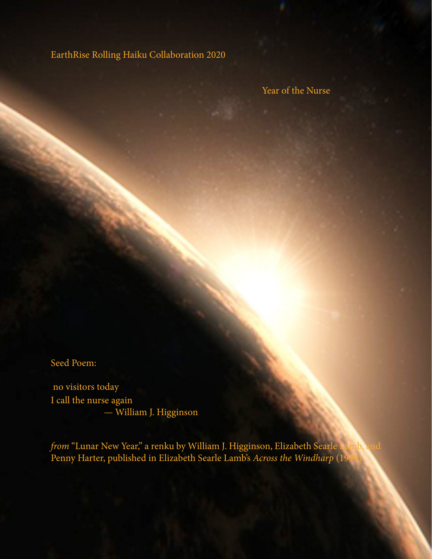## EarthRise Rolling Haiku Collaboration 2020

Year of the Nurse

Seed Poem:

no visitors today I call the nurse again — William J. Higginson

*from* "Lunar New Year," a renku by William J. Higginson, Elizabeth Searle Penny Harter, published in Elizabeth Searle Lamb's *Across the Windharp* (19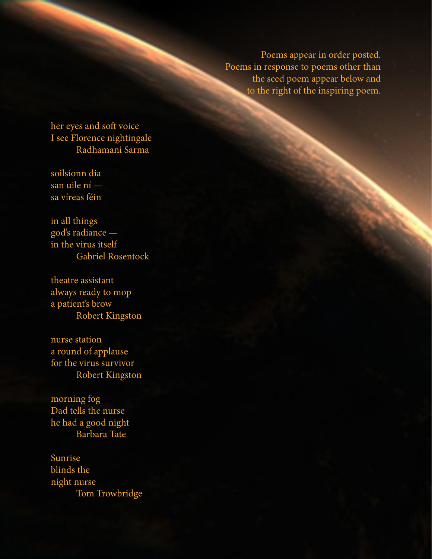Poems appear in order posted. Poems in response to poems other than the seed poem appear below and to the right of the inspiring poem.

her eyes and soft voice I see Florence nightingale Radhamani Sarma

soilsíonn dia san uile ní sa víreas féin

in all things god's radiance in the virus itself Gabriel Rosentock

theatre assistant always ready to mop a patient's brow Robert Kingston

nurse station a round of applause for the virus survivor Robert Kingston

morning fog Dad tells the nurse he had a good night Barbara Tate

Sunrise blinds the night nurse Tom Trowbridge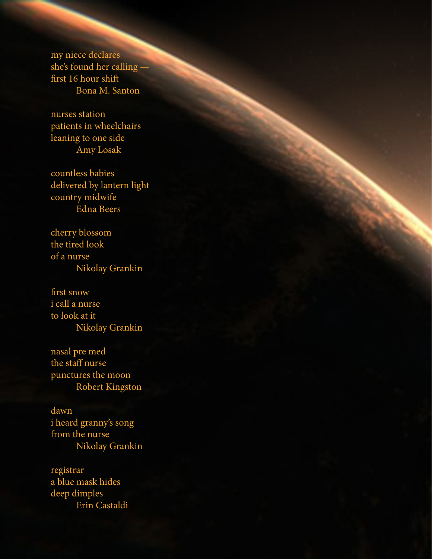my niece declares she's found her calling first 16 hour shift Bona M. Santon

nurses station patients in wheelchairs leaning to one side Amy Losak

countless babies delivered by lantern light country midwife Edna Beers

cherry blossom the tired look of a nurse Nikolay Grankin

first snow i call a nurse to look at it Nikolay Grankin

nasal pre med the staff nurse punctures the moon Robert Kingston

dawn i heard granny's song from the nurse Nikolay Grankin

registrar a blue mask hides deep dimples Erin Castaldi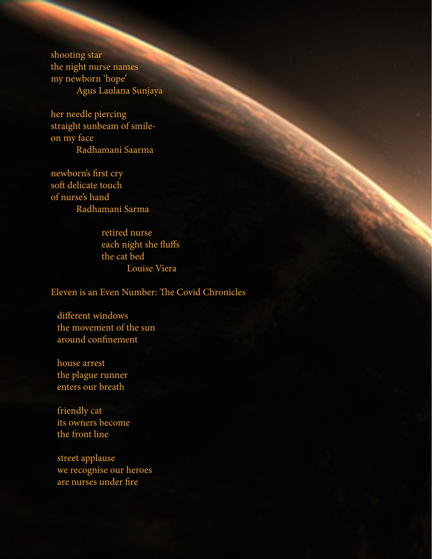shooting star the night nurse names my newborn 'hope' Agus Laulana Sunjaya

her needle piercing straight sunbeam of smileon my face Radhamani Saarma

newborn's first cry soft delicate touch of nurse's hand Radhamani Sarma

> retired nurse each night she fluffs the cat bed Louise Viera

Eleven is an Even Number: The Covid Chronicles

different windows the movement of the sun around confinement

house arrest the plague runner enters our breath

friendly cat its owners become the front line

street applause we recognise our heroes are nurses under fire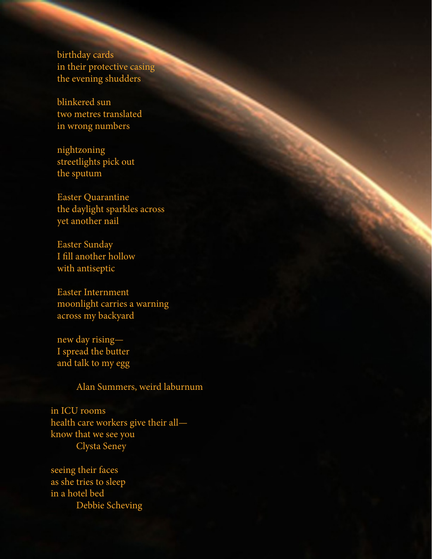birthday cards in their protective casing the evening shudders

blinkered sun two metres translated in wrong numbers

nightzoning streetlights pick out the sputum

Easter Quarantine the daylight sparkles across yet another nail

Easter Sunday I fill another hollow with antiseptic

Easter Internment moonlight carries a warning across my backyard

new day rising— I spread the butter and talk to my egg

Alan Summers, weird laburnum

in ICU rooms health care workers give their all know that we see you Clysta Seney

seeing their faces as she tries to sleep in a hotel bed Debbie Scheving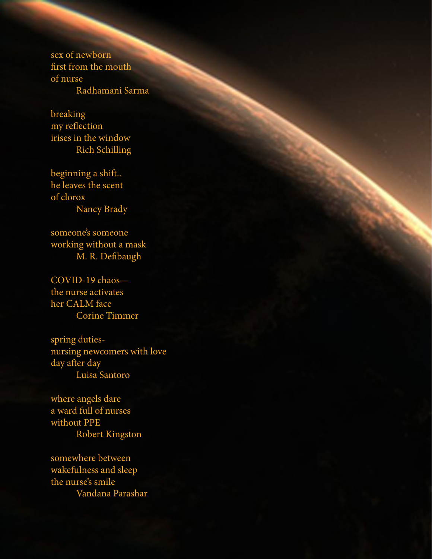sex of newborn first from the mouth of nurse Radhamani Sarma

breaking my reflection irises in the window Rich Schilling

beginning a shift.. he leaves the scent of clorox Nancy Brady

someone's someone working without a mask M. R. Defibaugh

COVID-19 chaos the nurse activates her CALM face Corine Timmer

spring dutiesnursing newcomers with love day after day Luisa Santoro

where angels dare a ward full of nurses without PPE Robert Kingston

somewhere between wakefulness and sleep the nurse's smile Vandana Parashar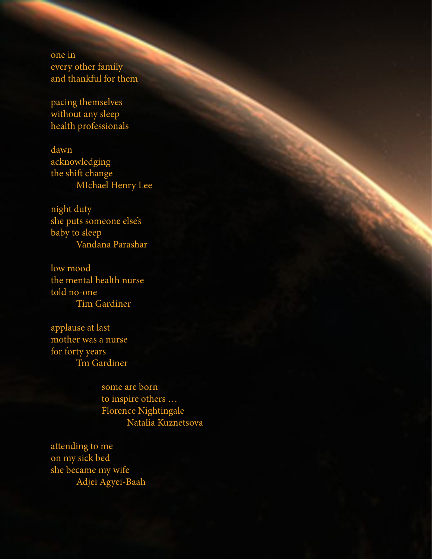one in every other family and thankful for them

pacing themselves without any sleep health professionals

dawn acknowledging the shift change MIchael Henry Lee

night duty she puts someone else's baby to sleep Vandana Parashar

low mood the mental health nurse told no-one Tim Gardiner

applause at last mother was a nurse for forty years Tm Gardiner

> some are born to inspire others … Florence Nightingale Natalia Kuznetsova

attending to me on my sick bed she became my wife Adjei Agyei-Baah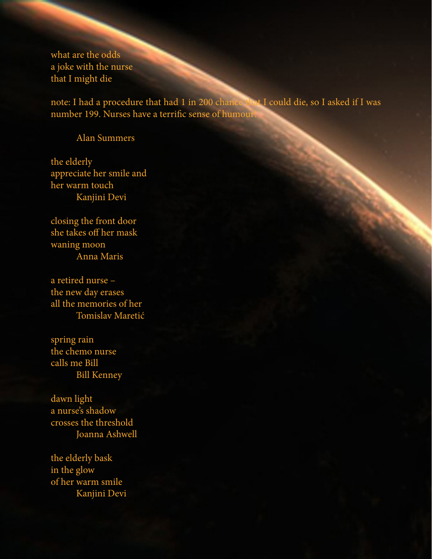what are the odds a joke with the nurse that I might die

note: I had a procedure that had 1 in 200 chance that I could die, so I asked if I was number 199. Nurses have a terrific sense of humour!

Alan Summers

the elderly appreciate her smile and her warm touch Kanjini Devi

closing the front door she takes off her mask waning moon Anna Maris

a retired nurse – the new day erases all the memories of her Tomislav Maretić

spring rain the chemo nurse calls me Bill Bill Kenney

dawn light a nurse's shadow crosses the threshold Joanna Ashwell

the elderly bask in the glow of her warm smile Kanjini Devi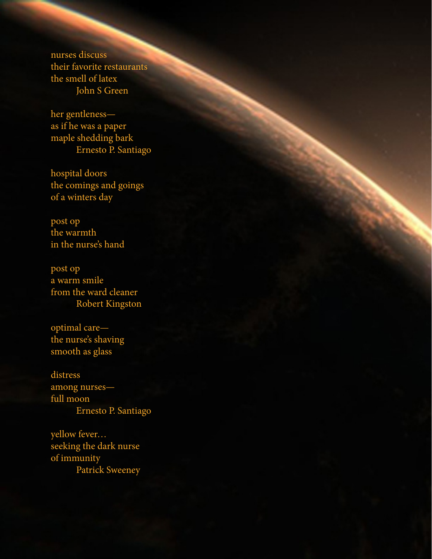nurses discuss their favorite restaurants the smell of latex John S Green

her gentleness as if he was a paper maple shedding bark Ernesto P. Santiago

hospital doors the comings and goings of a winters day

post op the warmth in the nurse's hand

post op a warm smile from the ward cleaner Robert Kingston

optimal care the nurse's shaving smooth as glass

distress among nurses full moon Ernesto P. Santiago

yellow fever… seeking the dark nurse of immunity Patrick Sweeney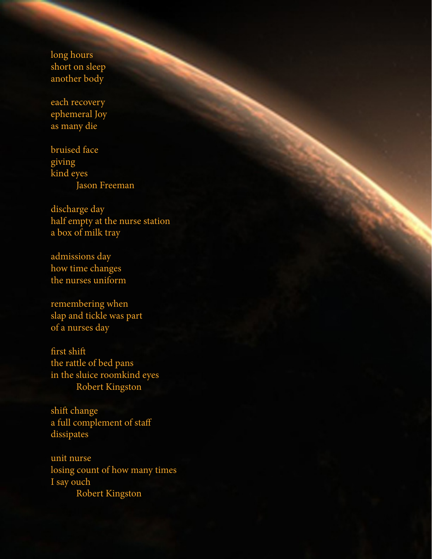long hours short on sleep another body

each recovery ephemeral Joy as many die

bruised face giving kind eyes Jason Freeman

discharge day half empty at the nurse station a box of milk tray

admissions day how time changes the nurses uniform

remembering when slap and tickle was part of a nurses day

first shift the rattle of bed pans in the sluice roomkind eyes Robert Kingston

shift change a full complement of staff dissipates

unit nurse losing count of how many times I say ouch Robert Kingston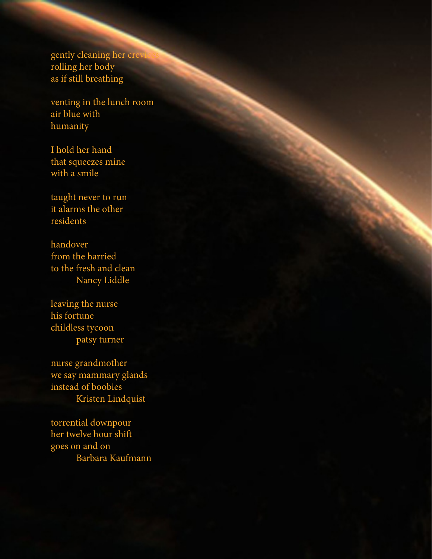gently cleaning her crevi rolling her body as if still breathing

venting in the lunch room air blue with humanity

I hold her hand that squeezes mine with a smile

taught never to run it alarms the other residents

handover from the harried to the fresh and clean Nancy Liddle

leaving the nurse his fortune childless tycoon patsy turner

nurse grandmother we say mammary glands instead of boobies Kristen Lindquist

torrential downpour her twelve hour shift goes on and on Barbara Kaufmann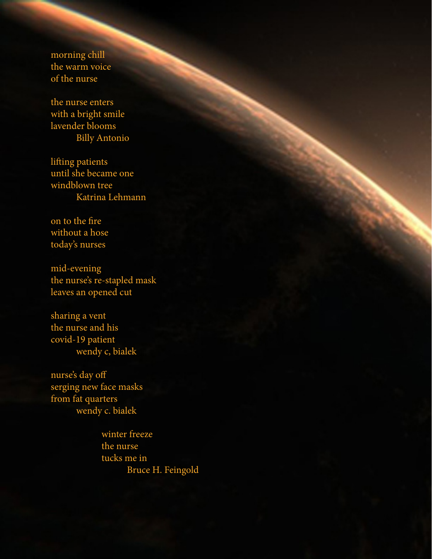morning chill the warm voice of the nurse

the nurse enters with a bright smile lavender blooms Billy Antonio

lifting patients until she became one windblown tree Katrina Lehmann

on to the fire without a hose today's nurses

mid-evening the nurse's re-stapled mask leaves an opened cut

sharing a vent the nurse and his covid-19 patient wendy c, bialek

nurse's day off serging new face masks from fat quarters wendy c. bialek

> winter freeze the nurse tucks me in Bruce H. Feingold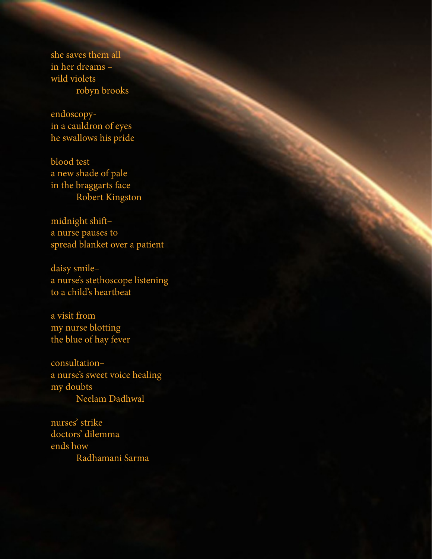she saves them all in her dreams – wild violets robyn brooks

endoscopyin a cauldron of eyes he swallows his pride

blood test a new shade of pale in the braggarts face Robert Kingston

midnight shift– a nurse pauses to spread blanket over a patient

daisy smile– a nurse's stethoscope listening to a child's heartbeat

a visit from my nurse blotting the blue of hay fever

consultation– a nurse's sweet voice healing my doubts Neelam Dadhwal

nurses' strike doctors' dilemma ends how Radhamani Sarma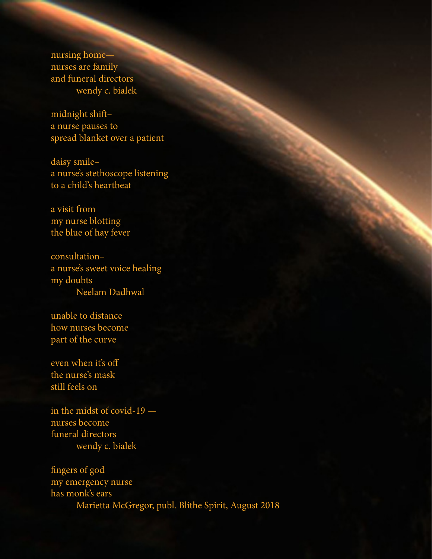nursing home nurses are family and funeral directors wendy c. bialek

midnight shift– a nurse pauses to spread blanket over a patient

daisy smile– a nurse's stethoscope listening to a child's heartbeat

a visit from my nurse blotting the blue of hay fever

consultation– a nurse's sweet voice healing my doubts Neelam Dadhwal

unable to distance how nurses become part of the curve

even when it's off the nurse's mask still feels on

in the midst of covid-19 nurses become funeral directors wendy c. bialek

fingers of god my emergency nurse has monk's ears Marietta McGregor, publ. Blithe Spirit, August 2018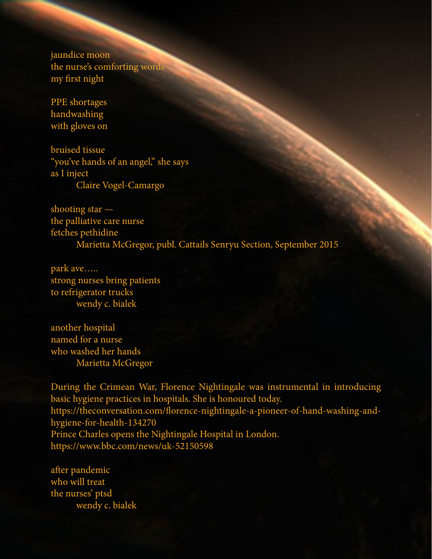jaundice moon the nurse's comforting words my first night

PPE shortages handwashing with gloves on

bruised tissue "you've hands of an angel," she says as I inject Claire Vogel-Camargo

shooting star the palliative care nurse fetches pethidine Marietta McGregor, publ. Cattails Senryu Section, September 2015

park ave….. strong nurses bring patients to refrigerator trucks wendy c. bialek

another hospital named for a nurse who washed her hands Marietta McGregor

During the Crimean War, Florence Nightingale was instrumental in introducing basic hygiene practices in hospitals. She is honoured today. https://theconversation.com/florence-nightingale-a-pioneer-of-hand-washing-andhygiene-for-health-134270 Prince Charles opens the Nightingale Hospital in London. https://www.bbc.com/news/uk-52150598

after pandemic who will treat the nurses' ptsd wendy c. bialek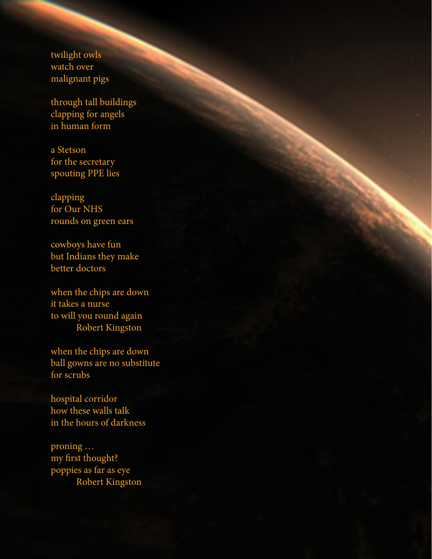twilight owls watch over malignant pigs

through tall buildings clapping for angels in human form

a Stetson for the secretary spouting PPE lies

clapping for Our NHS rounds on green ears

cowboys have fun but Indians they make better doctors

when the chips are down it takes a nurse to will you round again Robert Kingston

when the chips are down ball gowns are no substitute for scrubs

hospital corridor how these walls talk in the hours of darkness

proning … my first thought? poppies as far as eye Robert Kingston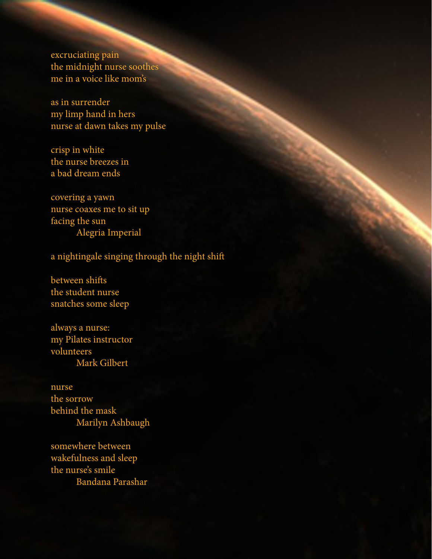excruciating pain the midnight nurse soothes me in a voice like mom's

as in surrender my limp hand in hers nurse at dawn takes my pulse

crisp in white the nurse breezes in a bad dream ends

covering a yawn nurse coaxes me to sit up facing the sun Alegria Imperial

a nightingale singing through the night shift

between shifts the student nurse snatches some sleep

always a nurse: my Pilates instructor volunteers Mark Gilbert

nurse the sorrow behind the mask Marilyn Ashbaugh

somewhere between wakefulness and sleep the nurse's smile Bandana Parashar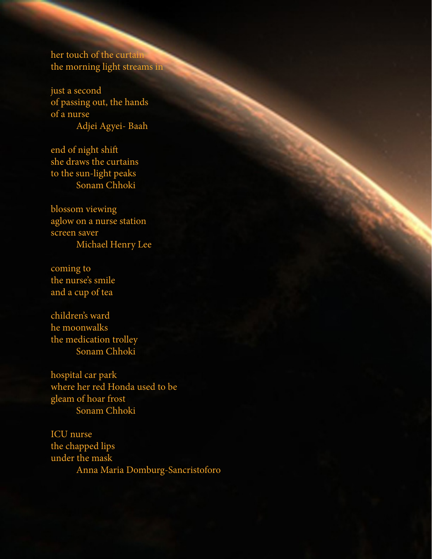her touch of the curtain the morning light streams in

just a second of passing out, the hands of a nurse Adjei Agyei- Baah

end of night shift she draws the curtains to the sun-light peaks Sonam Chhoki

blossom viewing aglow on a nurse station screen saver Michael Henry Lee

coming to the nurse's smile and a cup of tea

children's ward he moonwalks the medication trolley Sonam Chhoki

hospital car park where her red Honda used to be gleam of hoar frost Sonam Chhoki

ICU nurse the chapped lips under the mask Anna Maria Domburg-Sancristoforo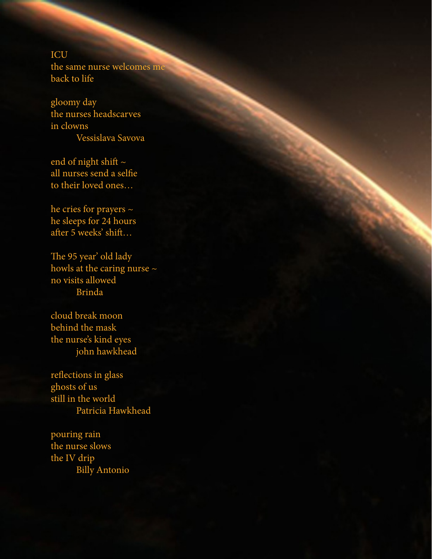**ICU** the same nurse welcomes me back to life

gloomy day the nurses headscarves in clowns Vessislava Savova

end of night shift  $\sim$ all nurses send a selfie to their loved ones…

he cries for prayers  $\sim$ he sleeps for 24 hours after 5 weeks' shift…

The 95 year' old lady howls at the caring nurse  $\sim$ no visits allowed Brinda

cloud break moon behind the mask the nurse's kind eyes john hawkhead

reflections in glass ghosts of us still in the world Patricia Hawkhead

pouring rain the nurse slows the IV drip Billy Antonio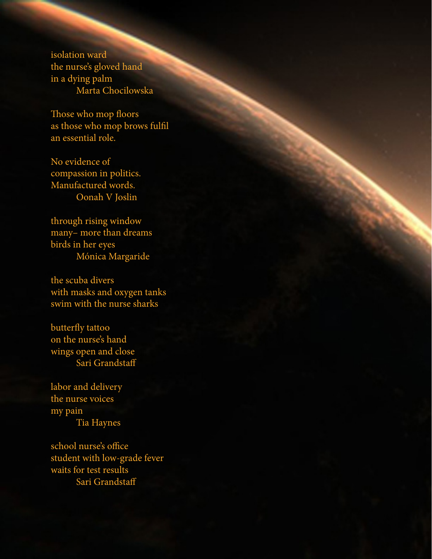isolation ward the nurse's gloved hand in a dying palm Marta Chocilowska

Those who mop floors as those who mop brows fulfil an essential role.

No evidence of compassion in politics. Manufactured words. Oonah V Joslin

through rising window many– more than dreams birds in her eyes Mónica Margaride

the scuba divers with masks and oxygen tanks swim with the nurse sharks

butterfly tattoo on the nurse's hand wings open and close Sari Grandstaff

labor and delivery the nurse voices my pain Tia Haynes

school nurse's office student with low-grade fever waits for test results Sari Grandstaff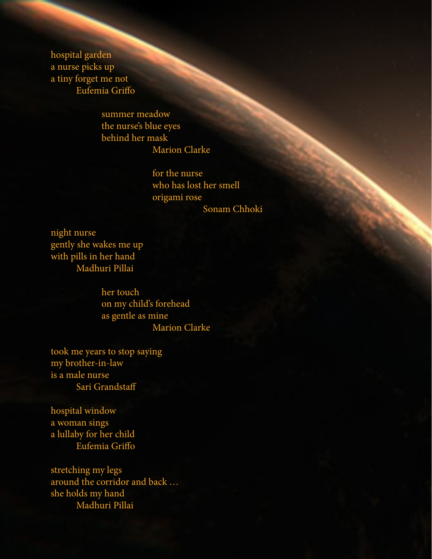hospital garden a nurse picks up a tiny forget me not Eufemia Griffo

> summer meadow the nurse's blue eyes behind her mask Marion Clarke

> > for the nurse who has lost her smell origami rose Sonam Chhoki

night nurse gently she wakes me up with pills in her hand Madhuri Pillai

> her touch on my child's forehead as gentle as mine Marion Clarke

took me years to stop saying my brother-in-law is a male nurse Sari Grandstaff

hospital window a woman sings a lullaby for her child Eufemia Griffo

stretching my legs around the corridor and back … she holds my hand Madhuri Pillai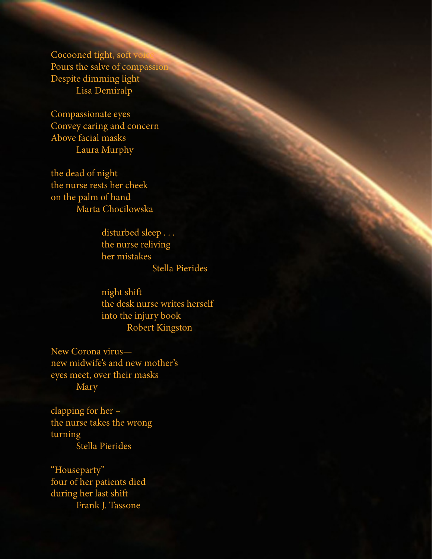Cocooned tight, soft voi Pours the salve of compassion Despite dimming light Lisa Demiralp

Compassionate eyes Convey caring and concern Above facial masks Laura Murphy

the dead of night the nurse rests her cheek on the palm of hand Marta Chocilowska

> disturbed sleep . . . the nurse reliving her mistakes Stella Pierides

 night shift the desk nurse writes herself into the injury book Robert Kingston

New Corona virus new midwife's and new mother's eyes meet, over their masks Mary

clapping for her – the nurse takes the wrong turning Stella Pierides

"Houseparty" four of her patients died during her last shift Frank J. Tassone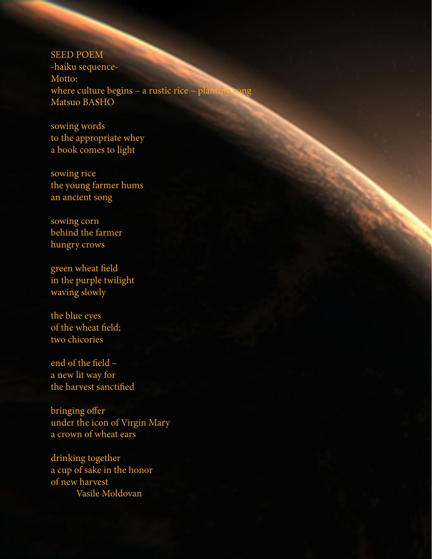SEED POEM -haiku sequence-Motto: where culture begins – a rustic rice – planting song Matsuo BASHO

sowing words to the appropriate whey a book comes to light

sowing rice the young farmer hums an ancient song

sowing corn behind the farmer hungry crows

green wheat field in the purple twilight waving slowly

the blue eyes of the wheat field; two chicories

end of the field – a new lit way for the harvest sanctified

bringing offer under the icon of Virgin Mary a crown of wheat ears

drinking together a cup of sake in the honor of new harvest Vasile Moldovan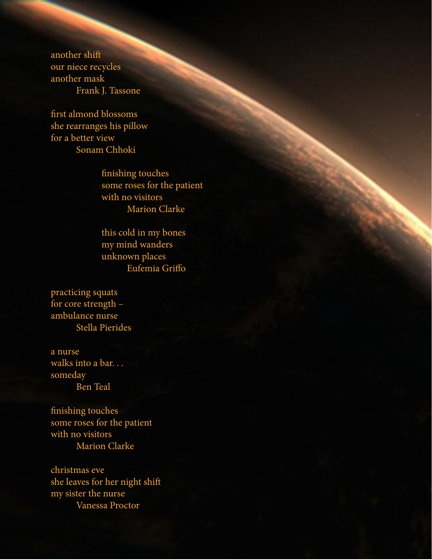another shift our niece recycles another mask Frank J. Tassone

first almond blossoms she rearranges his pillow for a better view Sonam Chhoki

> finishing touches some roses for the patient with no visitors Marion Clarke

 this cold in my bones my mind wanders unknown places Eufemia Griffo

practicing squats for core strength – ambulance nurse Stella Pierides

a nurse walks into a bar... someday Ben Teal

finishing touches some roses for the patient with no visitors Marion Clarke

christmas eve she leaves for her night shift my sister the nurse Vanessa Proctor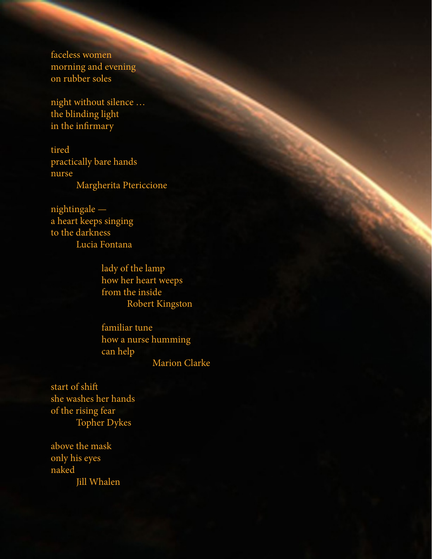faceless women morning and evening on rubber soles

night without silence … the blinding light in the infirmary

tired practically bare hands nurse Margherita Ptericcione

nightingale a heart keeps singing to the darkness Lucia Fontana

> lady of the lamp how her heart weeps from the inside Robert Kingston

 familiar tune how a nurse humming can help Marion Clarke

start of shift she washes her hands of the rising fear Topher Dykes

above the mask only his eyes naked Jill Whalen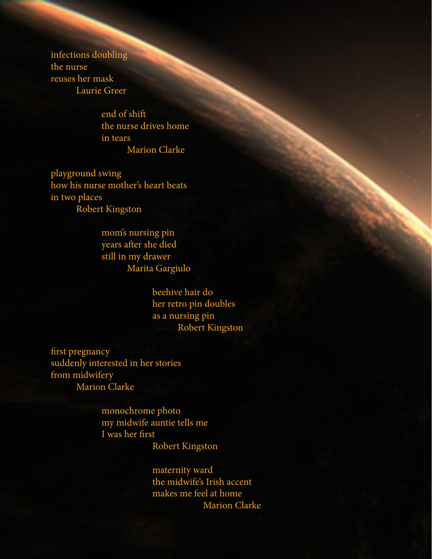infections doubling the nurse reuses her mask Laurie Greer

> end of shift the nurse drives home in tears Marion Clarke

playground swing how his nurse mother's heart beats in two places Robert Kingston

> mom's nursing pin years after she died still in my drawer Marita Gargiulo

> > beehive hair do her retro pin doubles as a nursing pin Robert Kingston

first pregnancy suddenly interested in her stories from midwifery Marion Clarke

> monochrome photo my midwife auntie tells me I was her first Robert Kingston

> > maternity ward the midwife's Irish accent makes me feel at home Marion Clarke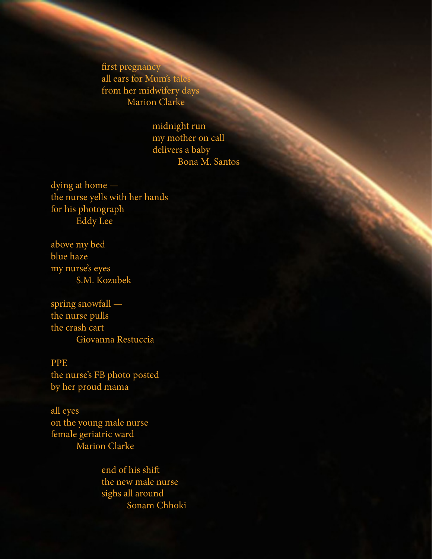first pregnancy all ears for Mum's tales from her midwifery days Marion Clarke

> midnight run my mother on call delivers a baby Bona M. Santos

dying at home the nurse yells with her hands for his photograph Eddy Lee

above my bed blue haze my nurse's eyes S.M. Kozubek

spring snowfall the nurse pulls the crash cart Giovanna Restuccia

PPE the nurse's FB photo posted by her proud mama

all eyes on the young male nurse female geriatric ward Marion Clarke

> end of his shift the new male nurse sighs all around Sonam Chhoki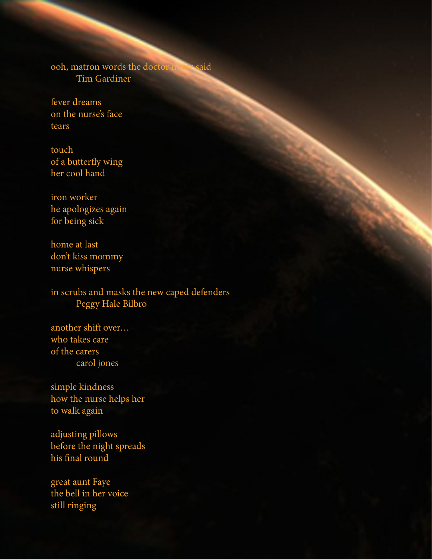ooh, matron words the doctor never said Tim Gardiner

fever dreams on the nurse's face tears

touch of a butterfly wing her cool hand

iron worker he apologizes again for being sick

home at last don't kiss mommy nurse whispers

in scrubs and masks the new caped defenders Peggy Hale Bilbro

another shift over… who takes care of the carers carol jones

simple kindness how the nurse helps her to walk again

adjusting pillows before the night spreads his final round

great aunt Faye the bell in her voice still ringing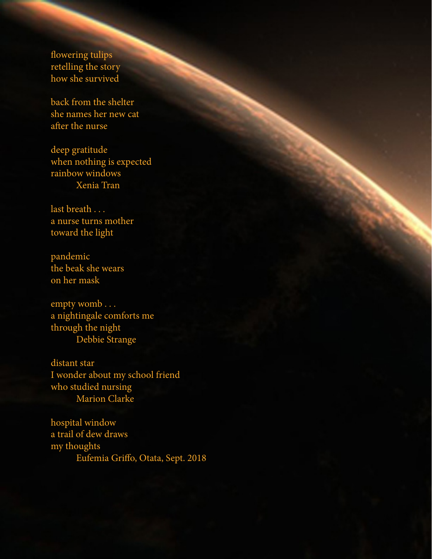flowering tulips retelling the story how she survived

back from the shelter she names her new cat after the nurse

deep gratitude when nothing is expected rainbow windows Xenia Tran

last breath . . . a nurse turns mother toward the light

pandemic the beak she wears on her mask

empty womb . . . a nightingale comforts me through the night Debbie Strange

distant star I wonder about my school friend who studied nursing Marion Clarke

hospital window a trail of dew draws my thoughts Eufemia Griffo, Otata, Sept. 2018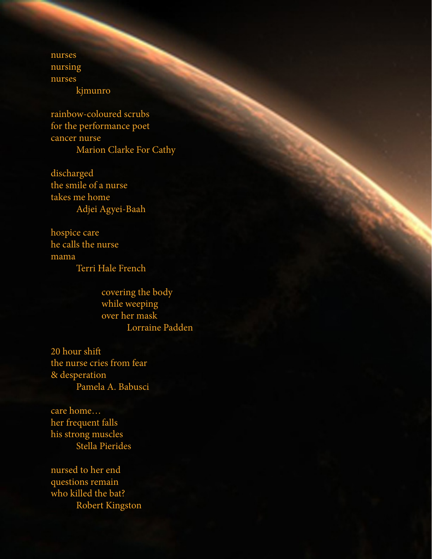nurses nursing nurses kjmunro

rainbow-coloured scrubs for the performance poet cancer nurse Marion Clarke For Cathy

discharged the smile of a nurse takes me home Adjei Agyei-Baah

hospice care he calls the nurse mama Terri Hale French

> covering the body while weeping over her mask Lorraine Padden

20 hour shift the nurse cries from fear & desperation Pamela A. Babusci

care home… her frequent falls his strong muscles Stella Pierides

nursed to her end questions remain who killed the bat? Robert Kingston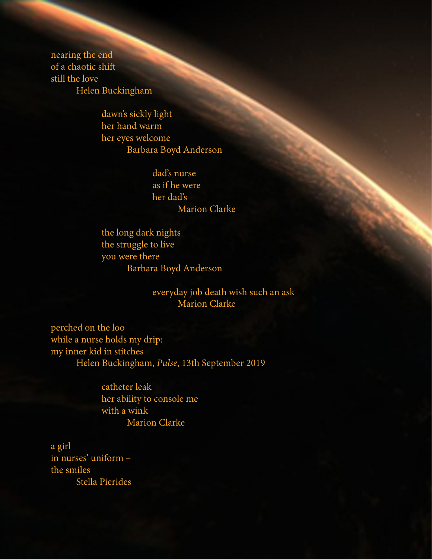nearing the end of a chaotic shift still the love Helen Buckingham

> dawn's sickly light her hand warm her eyes welcome Barbara Boyd Anderson

> > dad's nurse as if he were her dad's Marion Clarke

 the long dark nights the struggle to live you were there Barbara Boyd Anderson

> everyday job death wish such an ask Marion Clarke

perched on the loo while a nurse holds my drip: my inner kid in stitches Helen Buckingham, *Pulse*, 13th September 2019

> catheter leak her ability to console me with a wink Marion Clarke

a girl in nurses' uniform – the smiles Stella Pierides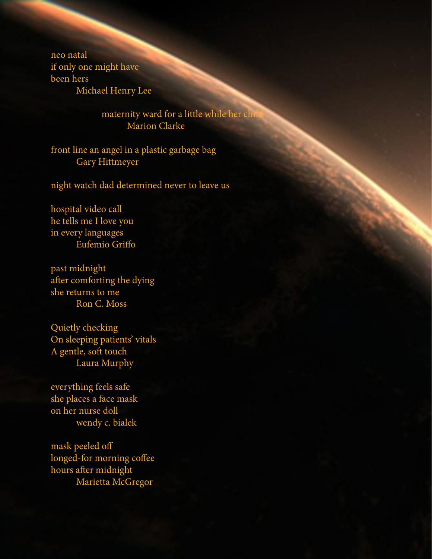neo natal if only one might have been hers Michael Henry Lee

> maternity ward for a little while her child Marion Clarke

front line an angel in a plastic garbage bag Gary Hittmeyer

night watch dad determined never to leave us

hospital video call he tells me I love you in every languages Eufemio Griffo

past midnight after comforting the dying she returns to me Ron C. Moss

Quietly checking On sleeping patients' vitals A gentle, soft touch Laura Murphy

everything feels safe she places a face mask on her nurse doll wendy c. bialek

mask peeled off longed-for morning coffee hours after midnight Marietta McGregor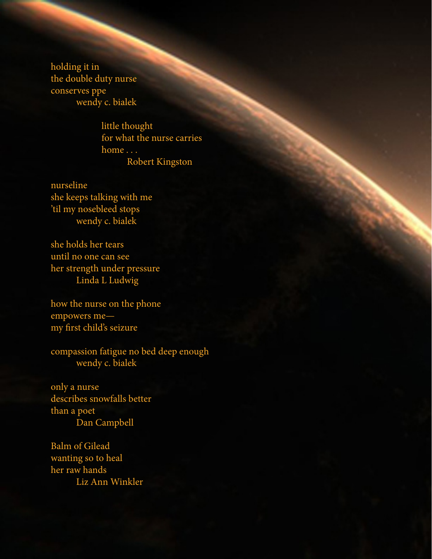holding it in the double duty nurse conserves ppe wendy c. bialek

> little thought for what the nurse carries home . . . Robert Kingston

nurseline she keeps talking with me 'til my nosebleed stops wendy c. bialek

she holds her tears until no one can see her strength under pressure Linda L Ludwig

how the nurse on the phone empowers me my first child's seizure

compassion fatigue no bed deep enough wendy c. bialek

only a nurse describes snowfalls better than a poet Dan Campbell

Balm of Gilead wanting so to heal her raw hands Liz Ann Winkler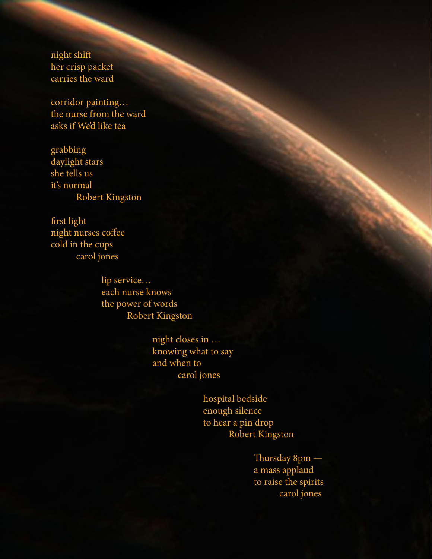night shift her crisp packet carries the ward

corridor painting… the nurse from the ward asks if We'd like tea

grabbing daylight stars she tells us it's normal Robert Kingston

first light night nurses coffee cold in the cups carol jones

> lip service… each nurse knows the power of words Robert Kingston

> > night closes in … knowing what to say and when to carol jones

> > > hospital bedside enough silence to hear a pin drop Robert Kingston

> > > > Thursday 8pm a mass applaud to raise the spirits carol jones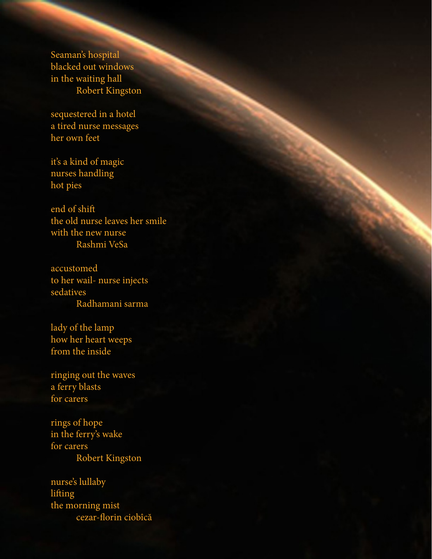Seaman's hospital blacked out windows in the waiting hall Robert Kingston

sequestered in a hotel a tired nurse messages her own feet

it's a kind of magic nurses handling hot pies

end of shift the old nurse leaves her smile with the new nurse Rashmi VeSa

accustomed to her wail- nurse injects sedatives Radhamani sarma

lady of the lamp how her heart weeps from the inside

ringing out the waves a ferry blasts for carers

rings of hope in the ferry's wake for carers Robert Kingston

nurse's lullaby lifting the morning mist cezar-florin ciobîcă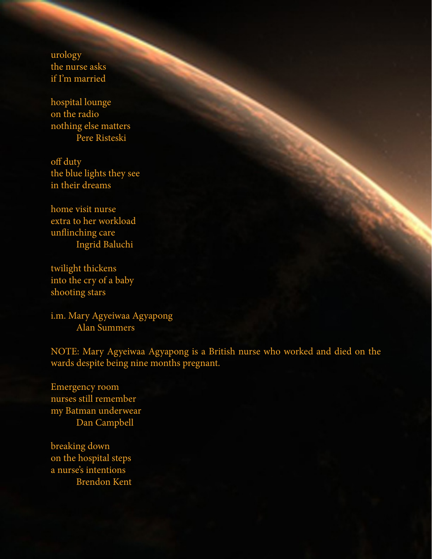urology the nurse asks if I'm married

hospital lounge on the radio nothing else matters Pere Risteski

off duty the blue lights they see in their dreams

home visit nurse extra to her workload unflinching care Ingrid Baluchi

twilight thickens into the cry of a baby shooting stars

i.m. Mary Agyeiwaa Agyapong Alan Summers

NOTE: Mary Agyeiwaa Agyapong is a British nurse who worked and died on the wards despite being nine months pregnant.

Emergency room nurses still remember my Batman underwear Dan Campbell

breaking down on the hospital steps a nurse's intentions Brendon Kent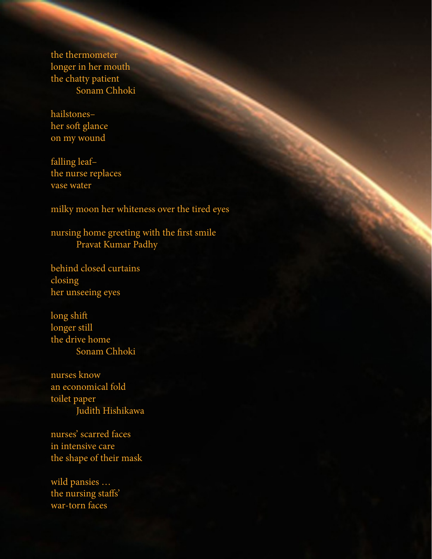the thermometer longer in her mouth the chatty patient Sonam Chhoki

hailstones– her soft glance on my wound

falling leaf– the nurse replaces vase water

milky moon her whiteness over the tired eyes

nursing home greeting with the first smile Pravat Kumar Padhy

behind closed curtains closing her unseeing eyes

long shift longer still the drive home Sonam Chhoki

nurses know an economical fold toilet paper Judith Hishikawa

nurses' scarred faces in intensive care the shape of their mask

wild pansies … the nursing staffs' war-torn faces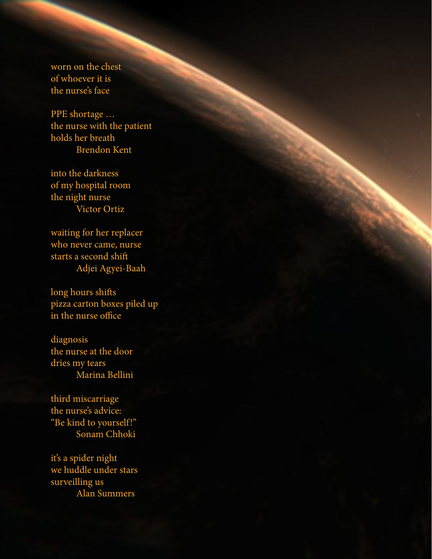worn on the chest of whoever it is the nurse's face

PPE shortage … the nurse with the patient holds her breath Brendon Kent

into the darkness of my hospital room the night nurse Victor Ortiz

waiting for her replacer who never came, nurse starts a second shift Adjei Agyei-Baah

long hours shifts pizza carton boxes piled up in the nurse office

diagnosis the nurse at the door dries my tears Marina Bellini

third miscarriage the nurse's advice: "Be kind to yourself!" Sonam Chhoki

it's a spider night we huddle under stars surveilling us Alan Summers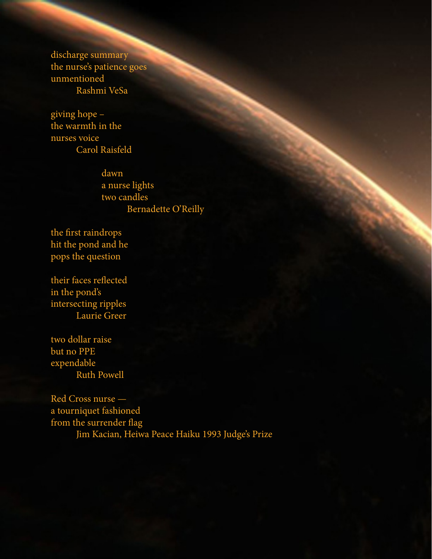discharge summary the nurse's patience goes unmentioned Rashmi VeSa

giving hope – the warmth in the nurses voice Carol Raisfeld

> dawn a nurse lights two candles Bernadette O'Reilly

the first raindrops hit the pond and he pops the question

their faces reflected in the pond's intersecting ripples Laurie Greer

two dollar raise but no PPE expendable Ruth Powell

Red Cross nurse a tourniquet fashioned from the surrender flag Jim Kacian, Heiwa Peace Haiku 1993 Judge's Prize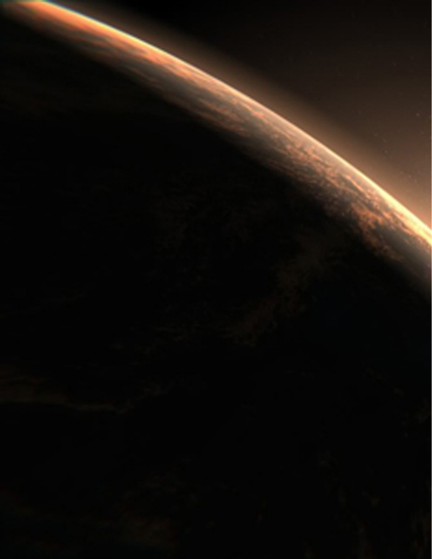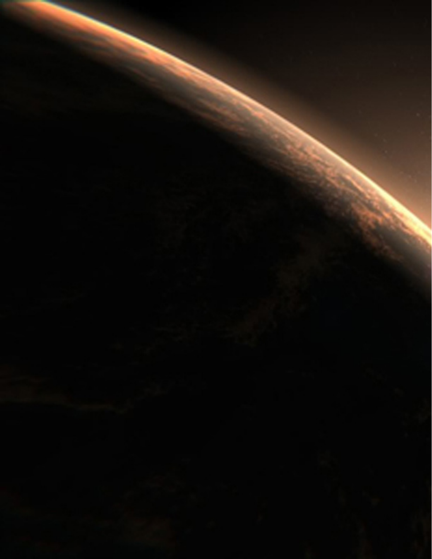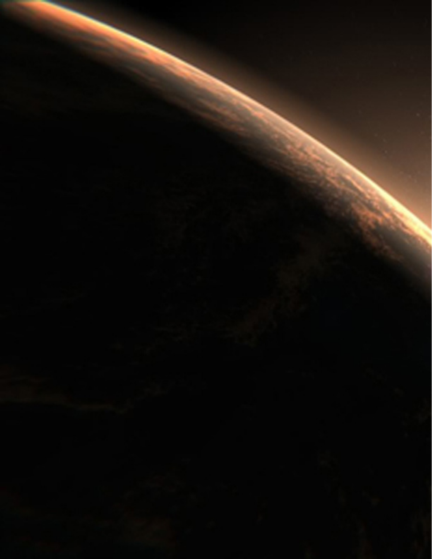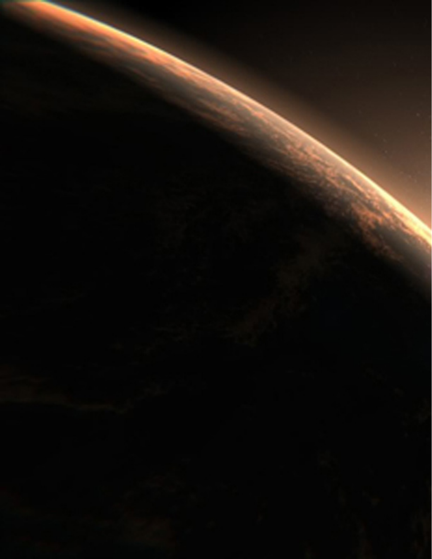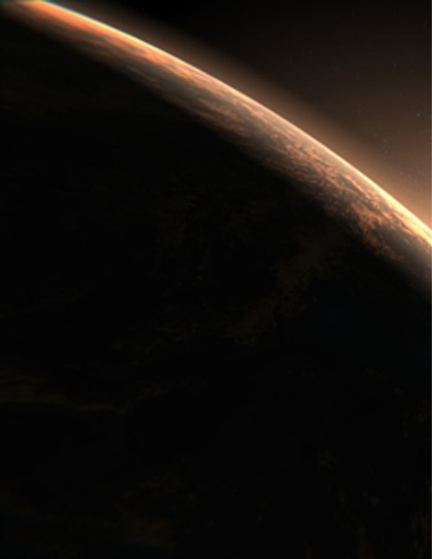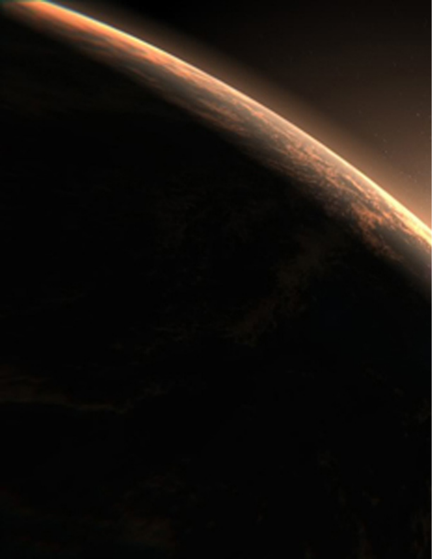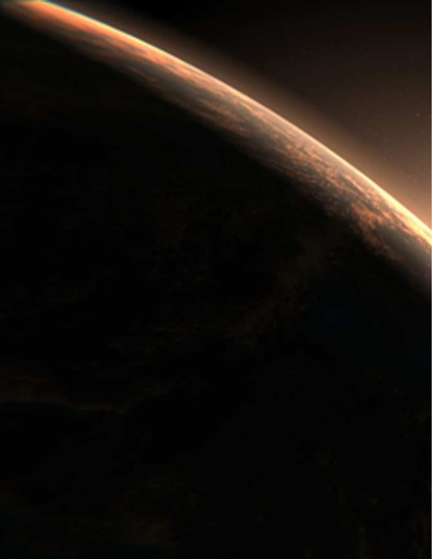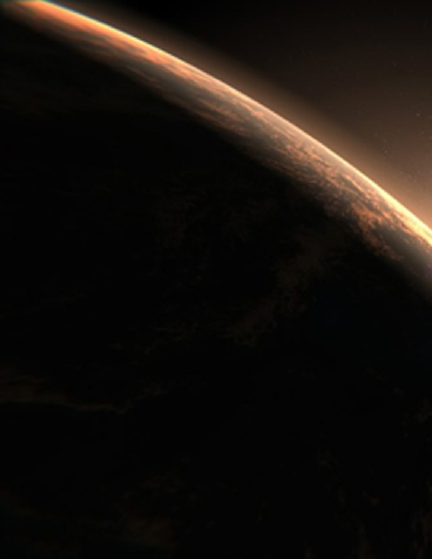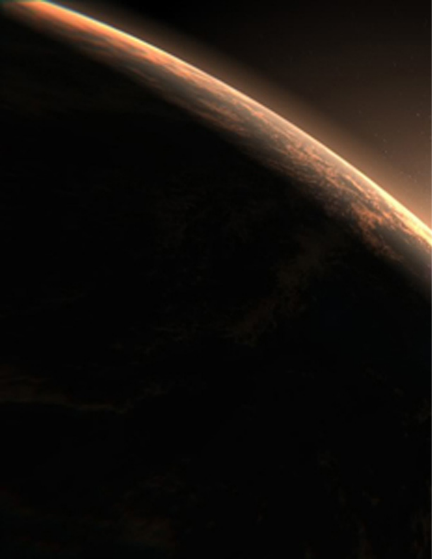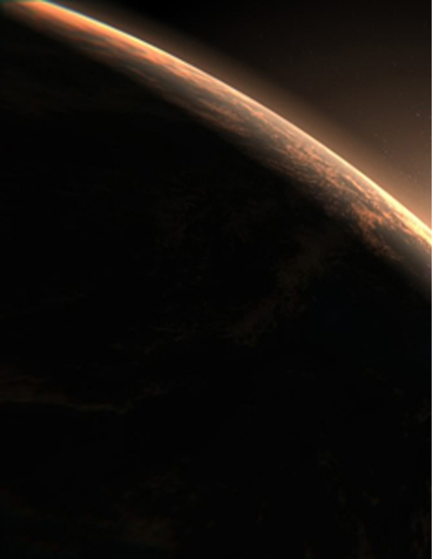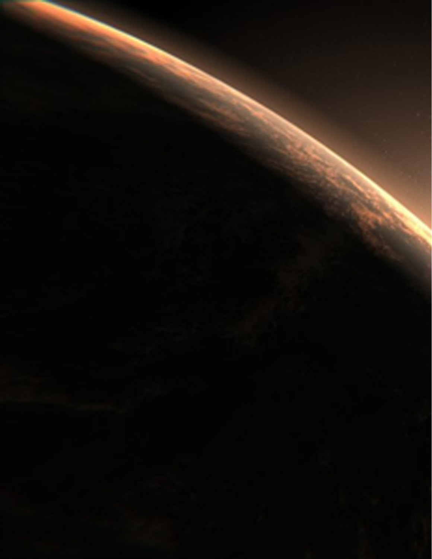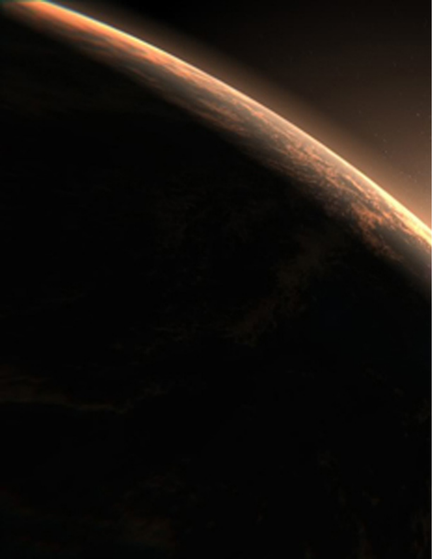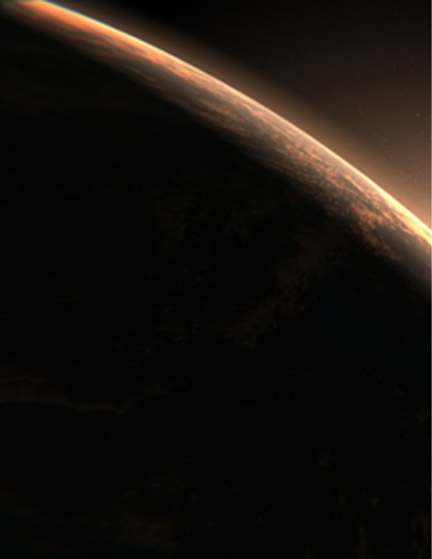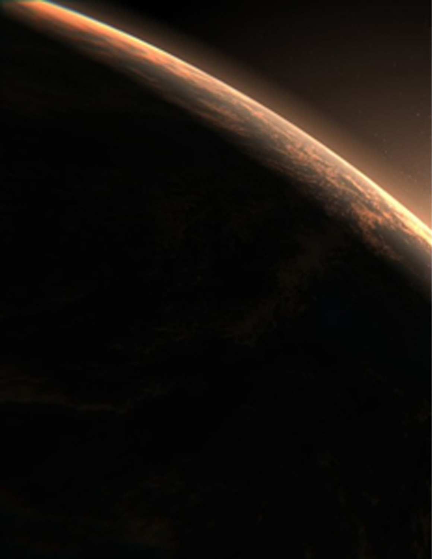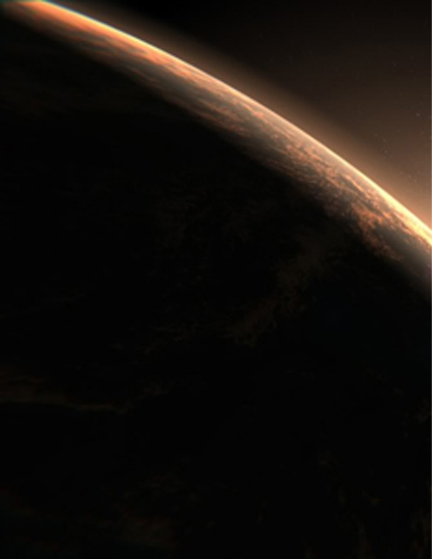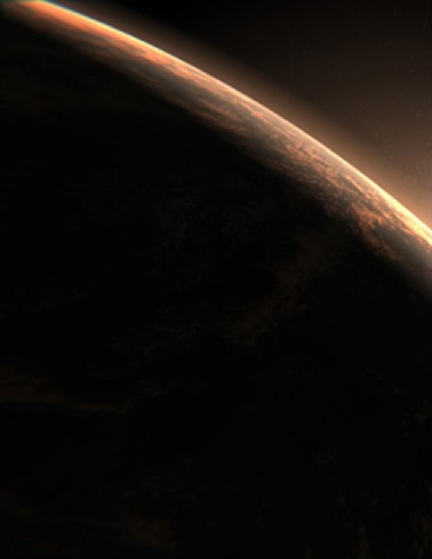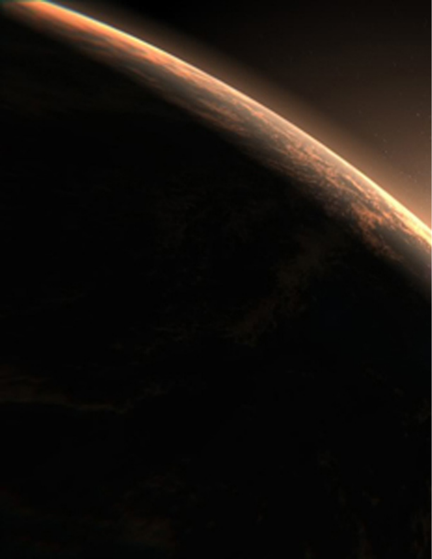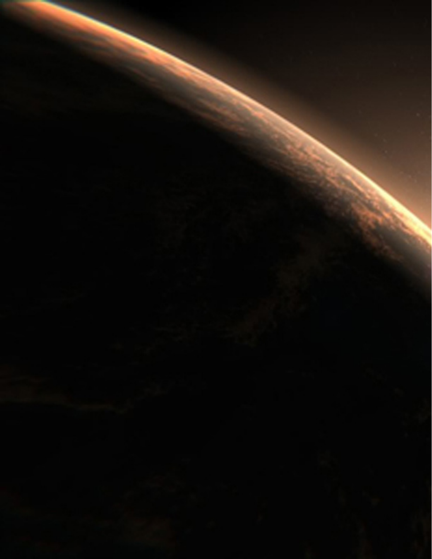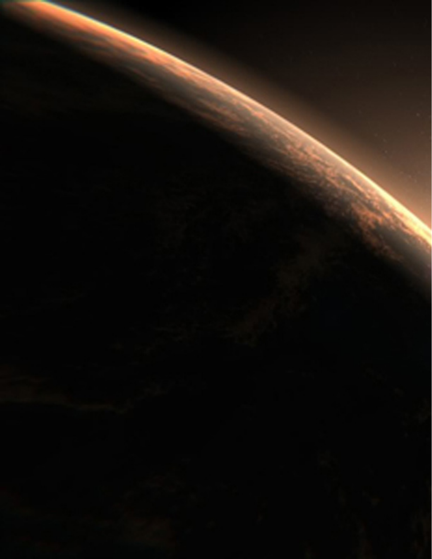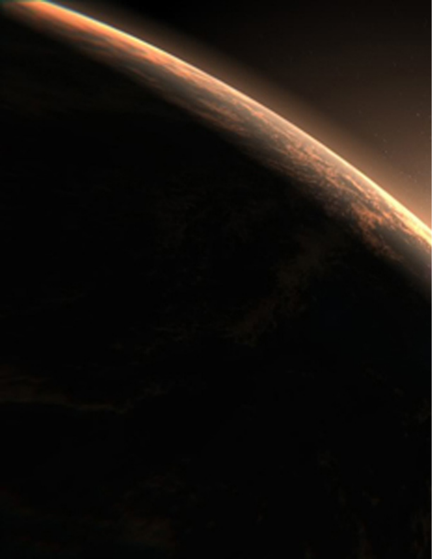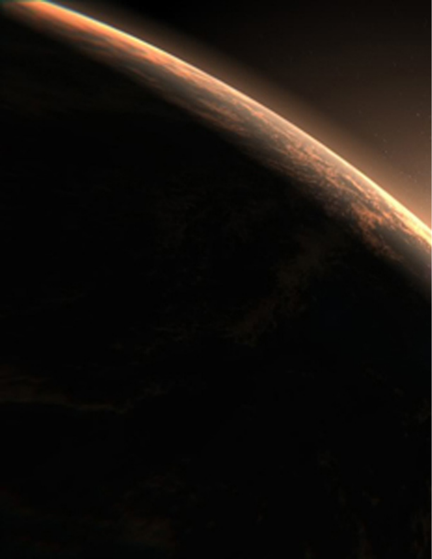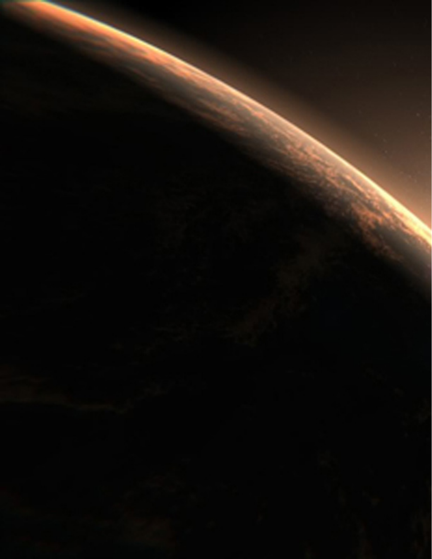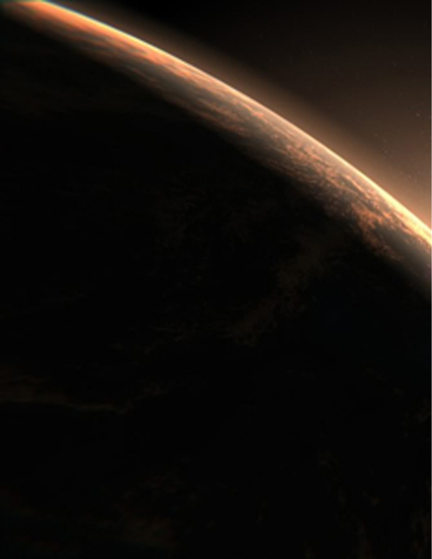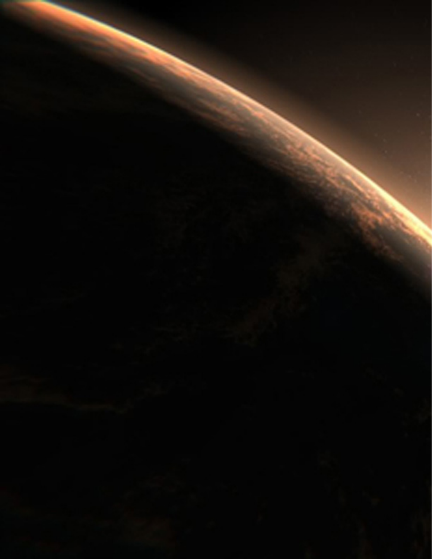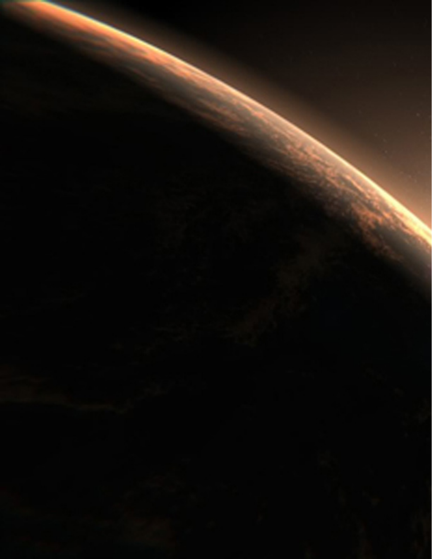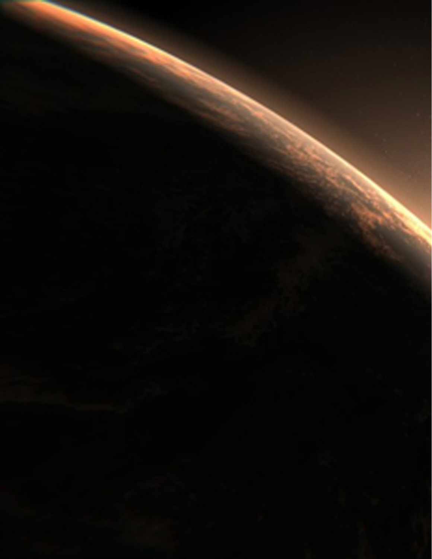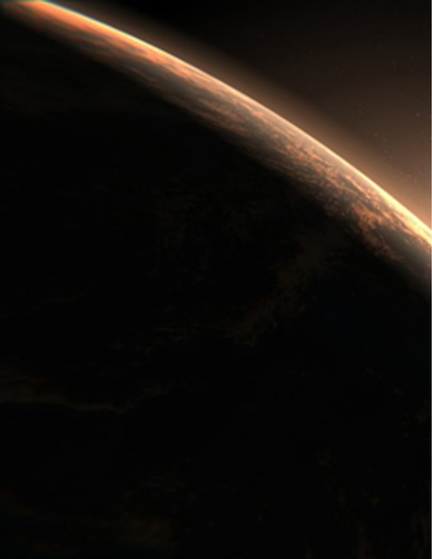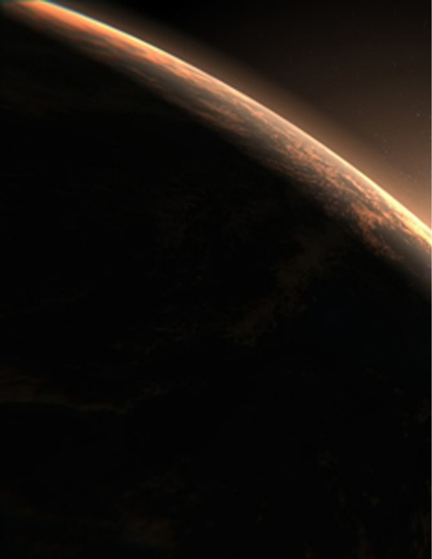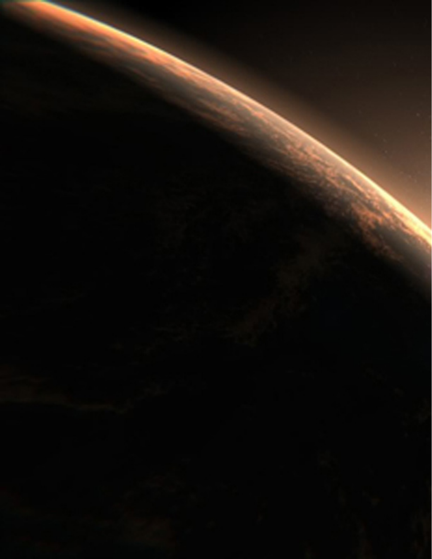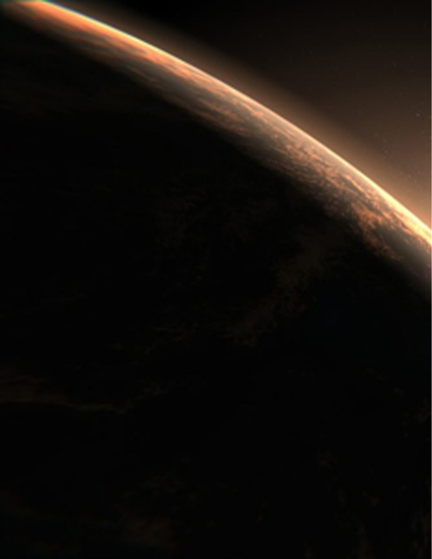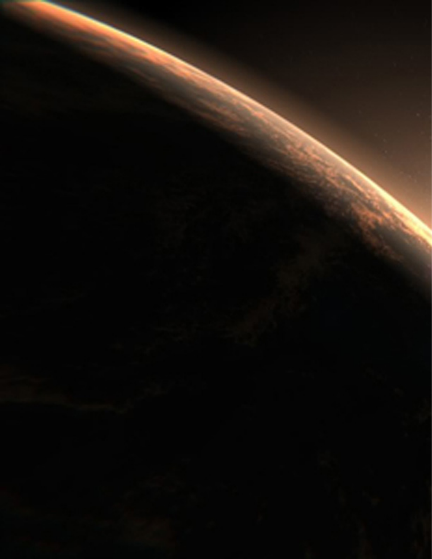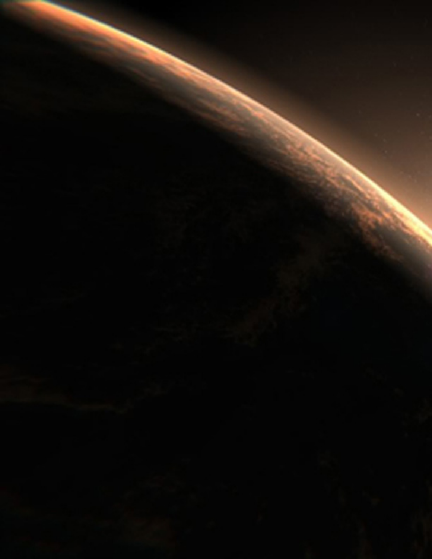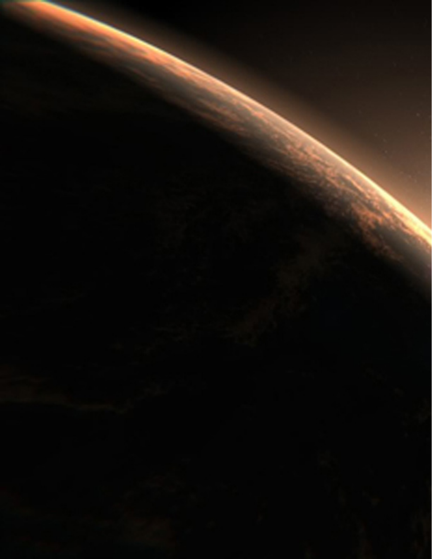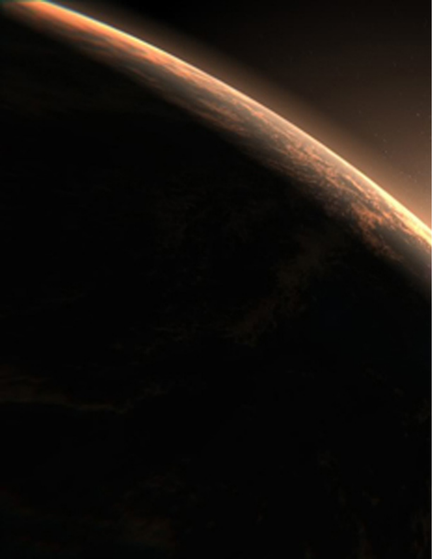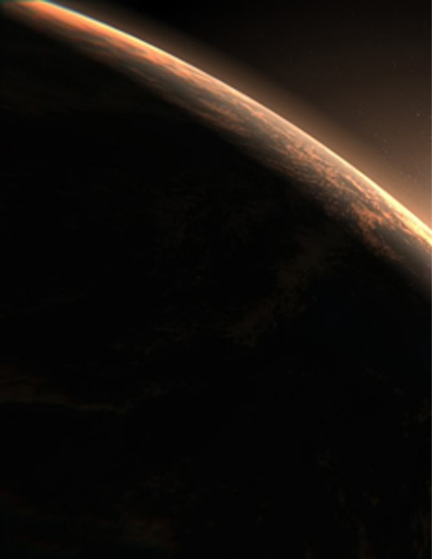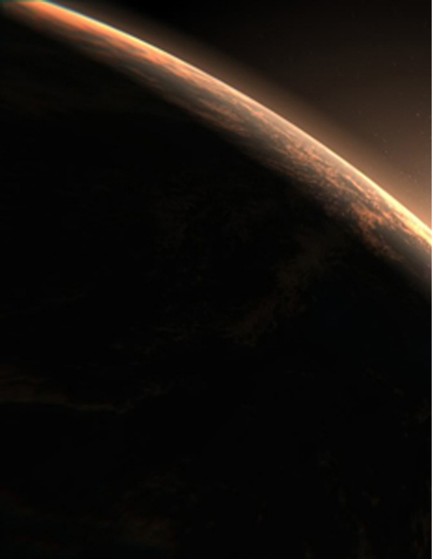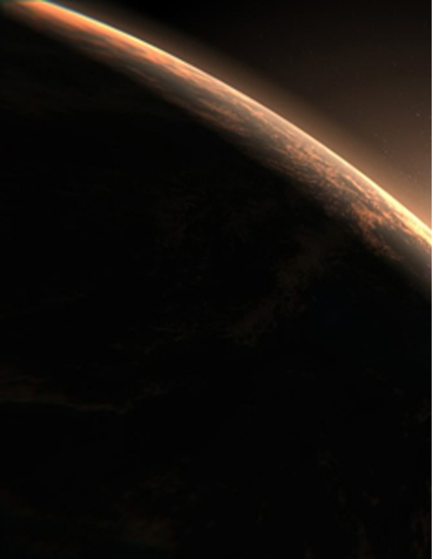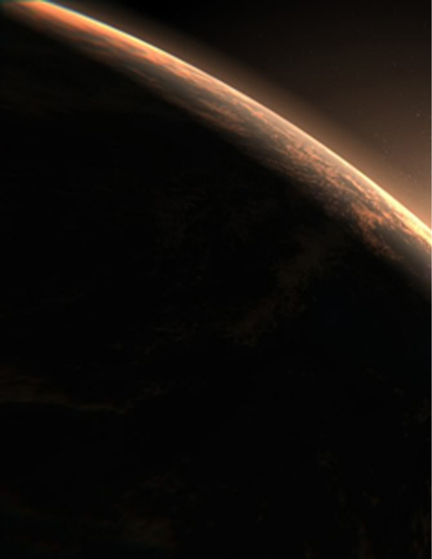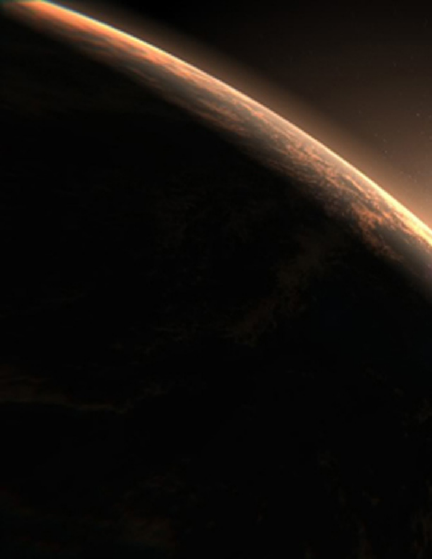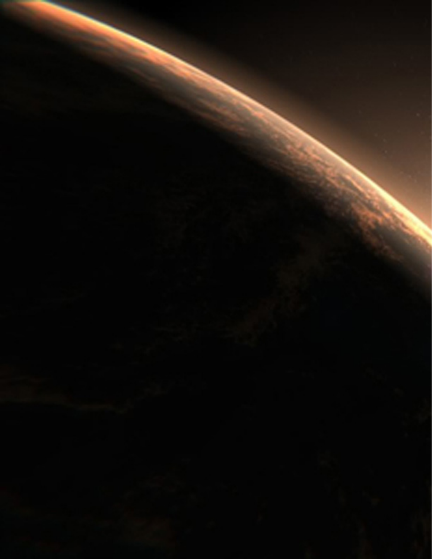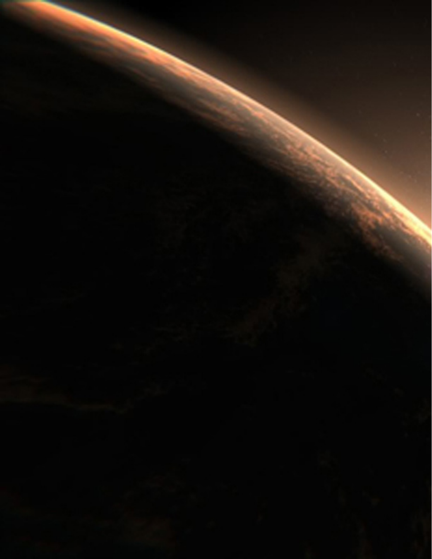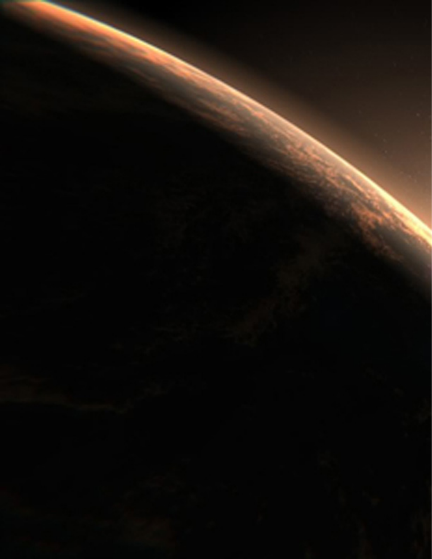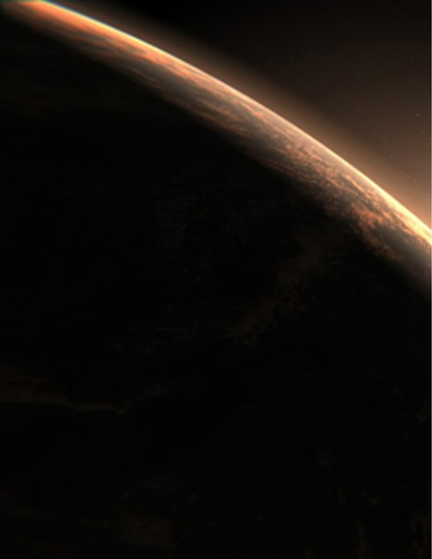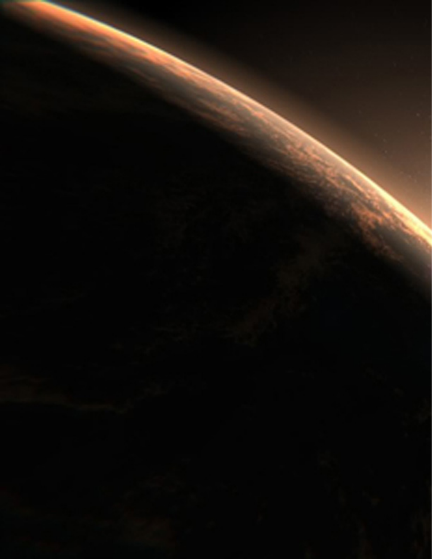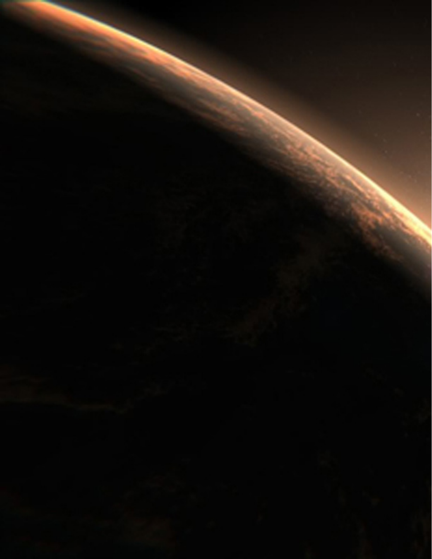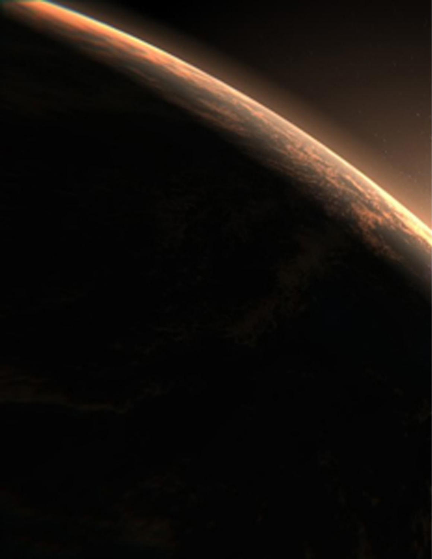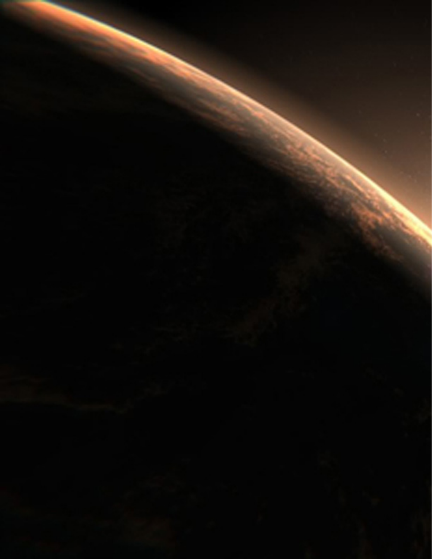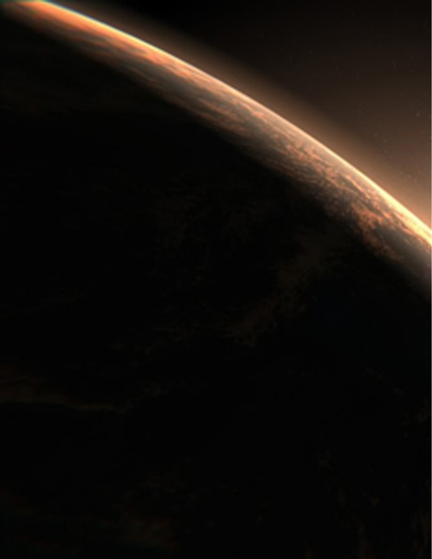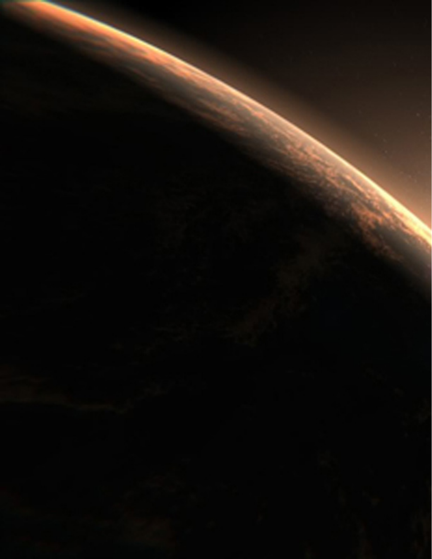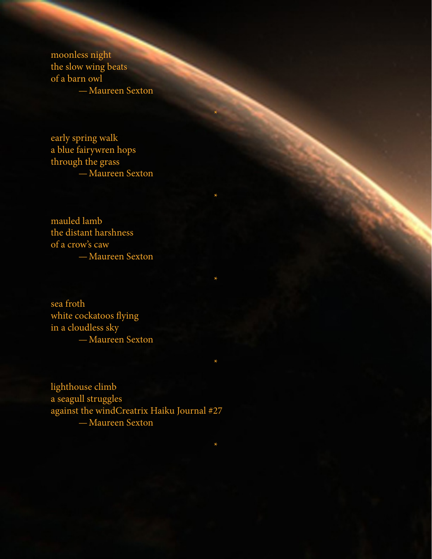moonless night the slow wing beats of a barn owl —Maureen Sexton

early spring walk a blue fairywren hops through the grass —Maureen Sexton \*

\*

mauled lamb the distant harshness of a crow's caw —Maureen Sexton

sea froth white cockatoos flying in a cloudless sky —Maureen Sexton

lighthouse climb a seagull struggles against the windCreatrix Haiku Journal #27 —Maureen Sexton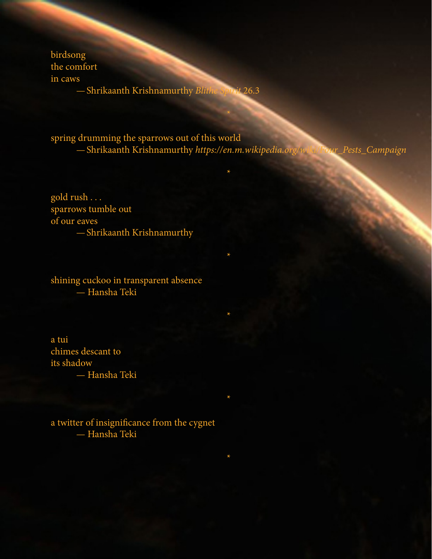birdsong the comfort in caws

—Shrikaanth Krishnamurthy *Blithe Spirit* 26.3

spring drumming the sparrows out of this world —Shrikaanth Krishnamurthy *https://en.m.wikipedia.org/wiki/Four\_Pests\_Campaign*

\*

\*

\*

\*

\*

gold rush . . . sparrows tumble out of our eaves —Shrikaanth Krishnamurthy

shining cuckoo in transparent absence — Hansha Teki

a tui chimes descant to its shadow — Hansha Teki

a twitter of insignificance from the cygnet — Hansha Teki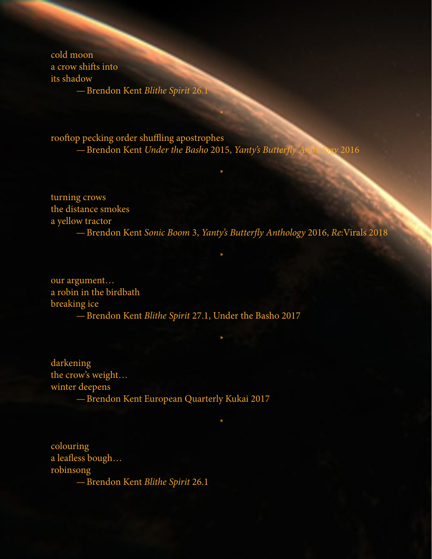cold moon a crow shifts into its shadow

—Brendon Kent *Blithe Spirit* 26.1

rooftop pecking order shuffling apostrophes —Brendon Kent *Under the Basho* 2015, *Yanty's Butterfly Anthology* 2016

\*

turning crows the distance smokes a yellow tractor —Brendon Kent *Sonic Boom* 3, *Yanty's Butterfly Anthology* 2016, *Re*:Virals 2018

\*

\*

\*

our argument… a robin in the birdbath breaking ice —Brendon Kent *Blithe Spirit* 27.1, Under the Basho 2017

darkening the crow's weight… winter deepens —Brendon Kent European Quarterly Kukai 2017

colouring a leafless bough… robinsong —Brendon Kent *Blithe Spirit* 26.1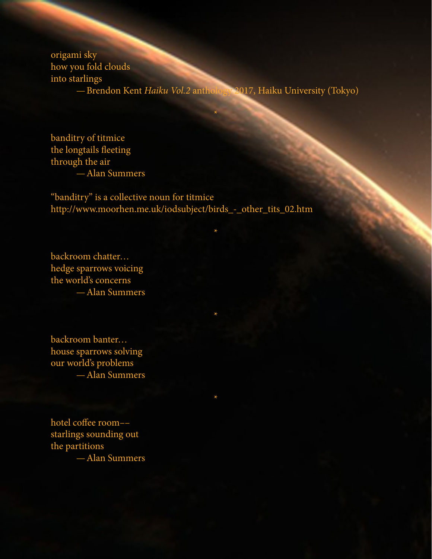origami sky how you fold clouds into starlings

—Brendon Kent *Haiku Vol.2* anthology 2017, Haiku University (Tokyo)

\*

\*

banditry of titmice the longtails fleeting through the air —Alan Summers

"banditry" is a collective noun for titmice http://www.moorhen.me.uk/iodsubject/birds\_-\_other\_tits\_02.htm

backroom chatter… hedge sparrows voicing the world's concerns —Alan Summers

backroom banter… house sparrows solving our world's problems —Alan Summers

hotel coffee room–– starlings sounding out the partitions —Alan Summers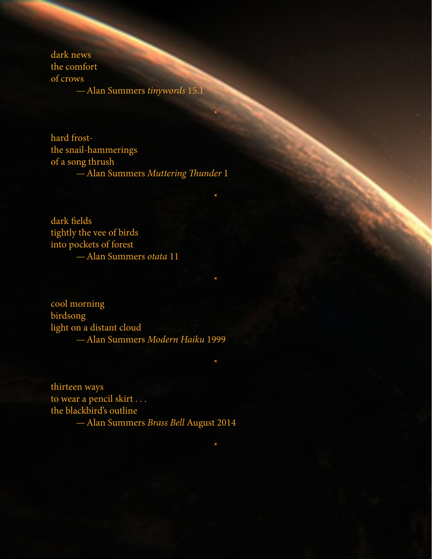dark news the comfort of crows

—Alan Summers *tinywords* 15.1

\*

\*

\*

hard frostthe snail-hammerings of a song thrush —Alan Summers *Muttering Thunder* 1

dark fields tightly the vee of birds into pockets of forest —Alan Summers *otata* 11

cool morning birdsong light on a distant cloud —Alan Summers *Modern Haiku* 1999

thirteen ways to wear a pencil skirt . . . the blackbird's outline —Alan Summers *Brass Bell* August 2014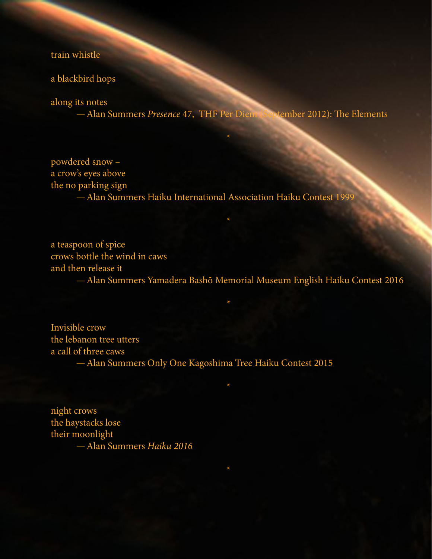train whistle

a blackbird hops

along its notes

—Alan Summers *Presence* 47, THF Per Diem (September 2012): The Elements

\*

## powdered snow – a crow's eyes above the no parking sign —Alan Summers Haiku International Association Haiku Contest 1999

a teaspoon of spice crows bottle the wind in caws and then release it —Alan Summers Yamadera Bashō Memorial Museum English Haiku Contest 2016

\*

\*

\*

\*

Invisible crow the lebanon tree utters a call of three caws —Alan Summers Only One Kagoshima Tree Haiku Contest 2015

night crows the haystacks lose their moonlight —Alan Summers *Haiku 2016*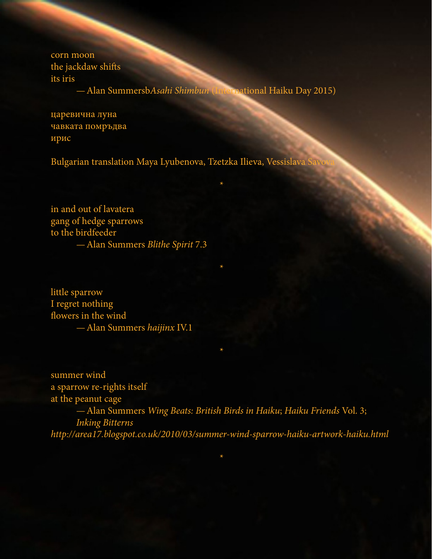corn moon the jackdaw shifts its iris

—Alan Summersb*Asahi Shimbun* (International Haiku Day 2015)

царевична луна чавката помръдва ирис

Bulgarian translation Maya Lyubenova, Tzetzka Ilieva, Vessislava Savo

in and out of lavatera gang of hedge sparrows to the birdfeeder —Alan Summers *Blithe Spirit* 7.3

little sparrow I regret nothing flowers in the wind —Alan Summers *haijinx* IV.1

summer wind a sparrow re-rights itself at the peanut cage —Alan Summers *Wing Beats: British Birds in Haiku*; *Haiku Friends* Vol. 3; *Inking Bitterns http://area17.blogspot.co.uk/2010/03/summer-wind-sparrow-haiku-artwork-haiku.html*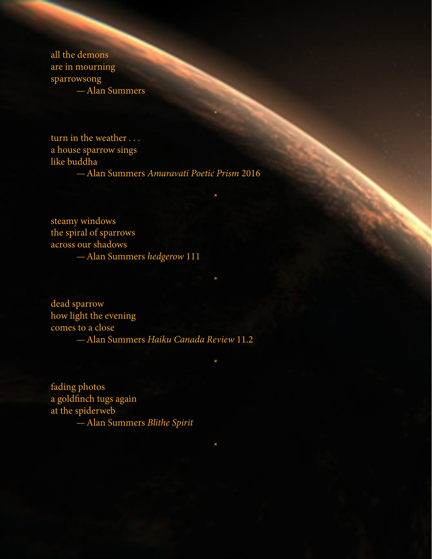all the demons are in mourning sparrowsong —Alan Summers

turn in the weather . . . a house sparrow sings like buddha —Alan Summers *Amaravati Poetic Prism* 2016

\*

\*

steamy windows the spiral of sparrows across our shadows —Alan Summers *hedgerow* 111

dead sparrow how light the evening comes to a close —Alan Summers *Haiku Canada Review* 11.2

fading photos a goldfinch tugs again at the spiderweb —Alan Summers *Blithe Spirit*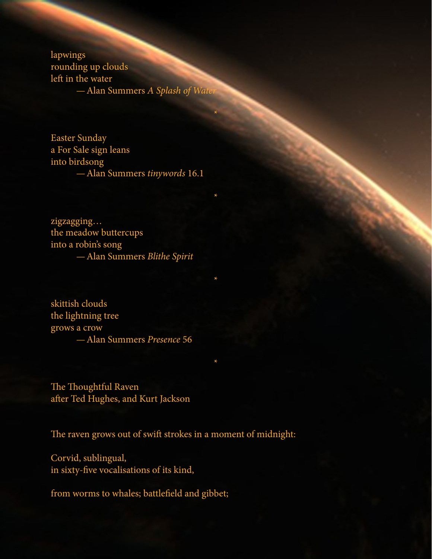lapwings rounding up clouds left in the water —Alan Summers *A Splash of Water*

\*

\*

Easter Sunday a For Sale sign leans into birdsong —Alan Summers *tinywords* 16.1

zigzagging… the meadow buttercups into a robin's song —Alan Summers *Blithe Spirit*

skittish clouds the lightning tree grows a crow —Alan Summers *Presence* 56

The Thoughtful Raven after Ted Hughes, and Kurt Jackson

The raven grows out of swift strokes in a moment of midnight:

Corvid, sublingual, in sixty-five vocalisations of its kind,

from worms to whales; battlefield and gibbet;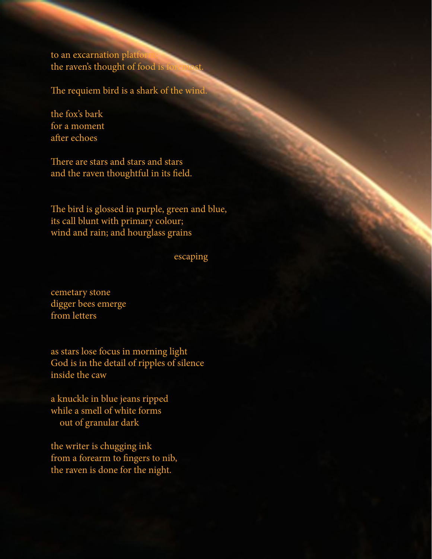to an excarnation platform the raven's thought of food is for

The requiem bird is a shark of the wind.

the fox's bark for a moment after echoes

There are stars and stars and stars and the raven thoughtful in its field.

The bird is glossed in purple, green and blue, its call blunt with primary colour; wind and rain; and hourglass grains

## escaping

cemetary stone digger bees emerge from letters

as stars lose focus in morning light God is in the detail of ripples of silence inside the caw

a knuckle in blue jeans ripped while a smell of white forms out of granular dark

the writer is chugging ink from a forearm to fingers to nib, the raven is done for the night.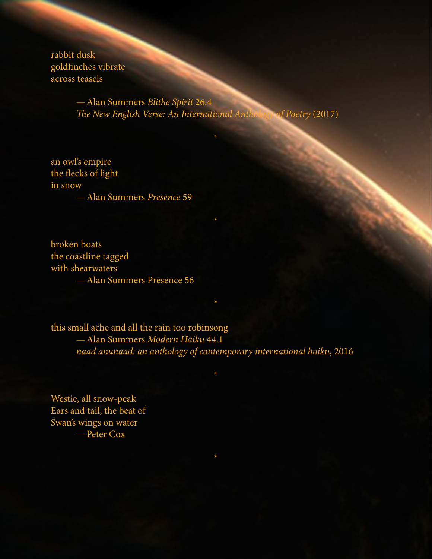rabbit dusk goldfinches vibrate across teasels

> —Alan Summers *Blithe Spirit* 26.4 *The New English Verse: An International Anthology of Poetry* (2017)

> > \*

an owl's empire the flecks of light in snow —Alan Summers *Presence* 59

broken boats the coastline tagged with shearwaters —Alan Summers Presence 56

this small ache and all the rain too robinsong —Alan Summers *Modern Haiku* 44.1 *naad anunaad: an anthology of contemporary international haiku*, 2016

\*

Westie, all snow-peak Ears and tail, the beat of Swan's wings on water —Peter Cox